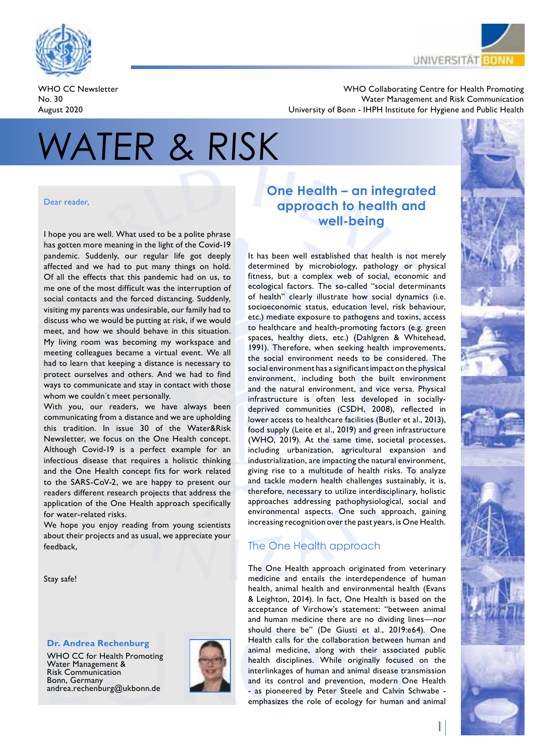

WHO CC Newsletter No. 30 August 2020



WHO Collaborating Centre for Health Promoting Water Management and Risk Communication University of Bonn - IHPH Institute for Hygiene and Public Health

# WATER & RISK

#### Dear reader,

I hope you are well. What used to be a polite phrase has gotten more meaning in the light of the Covid-19 pandemic. Suddenly, our regular life got deeply affected and we had to put many things on hold. Of all the effects that this pandemic had on us, to me one of the most difficult was the interruption of social contacts and the forced distancing. Suddenly, visiting my parents was undesirable, our family had to discuss who we would be putting at risk, if we would meet, and how we should behave in this situation. My living room was becoming my workspace and meeting colleagues became a virtual event. We all had to learn that keeping a distance is necessary to protect ourselves and others. And we had to find ways to communicate and stay in contact with those whom we couldn´t meet personally.

With you, our readers, we have always been communicating from a distance and we are upholding this tradition. In issue 30 of the Water&Risk Newsletter, we focus on the One Health concept. Although Covid-19 is a perfect example for an infectious disease that requires a holistic thinking and the One Health concept fits for work related to the SARS-CoV-2, we are happy to present our readers different research projects that address the application of the One Health approach specifically for water-related risks.

We hope you enjoy reading from young scientists about their projects and as usual, we appreciate your feedback,

Stay safe!

# **Dr. Andrea Rechenburg**

WHO CC for Health Promoting Water Management & Risk Communication Bonn, Germany andrea.rechenburg@ukbonn.de



# **One Health – an integrated approach to health and well-being**

It has been well established that health is not merely determined by microbiology, pathology or physical fitness, but a complex web of social, economic and ecological factors. The so-called "social determinants of health" clearly illustrate how social dynamics (i.e. socioeconomic status, education level, risk behaviour, etc.) mediate exposure to pathogens and toxins, access to healthcare and health-promoting factors (e.g. green spaces, healthy diets, etc.) (Dahlgren & Whitehead, 1991). Therefore, when seeking health improvements, the social environment needs to be considered. The social environment has a significant impact on the physical environment, including both the built environment and the natural environment, and vice versa. Physical infrastructure is often less developed in sociallydeprived communities (CSDH, 2008), reflected in lower access to healthcare facilities (Butler et al., 2013), food supply (Leite et al., 2019) and green infrastructure (WHO, 2019). At the same time, societal processes, including urbanization, agricultural expansion and industrialization, are impacting the natural environment, giving rise to a multitude of health risks. To analyze and tackle modern health challenges sustainably, it is, therefore, necessary to utilize interdisciplinary, holistic approaches addressing pathophysiological, social and environmental aspects. One such approach, gaining increasing recognition over the past years, is One Health.

# The One Health approach

The One Health approach originated from veterinary medicine and entails the interdependence of human health, animal health and environmental health (Evans & Leighton, 2014). In fact, One Health is based on the acceptance of Virchow's statement: "between animal and human medicine there are no dividing lines—nor should there be" (De Giusti et al., 2019:e64). One Health calls for the collaboration between human and animal medicine, along with their associated public health disciplines. While originally focused on the interlinkages of human and animal disease transmission and its control and prevention, modern One Health - as pioneered by Peter Steele and Calvin Schwabe emphasizes the role of ecology for human and animal

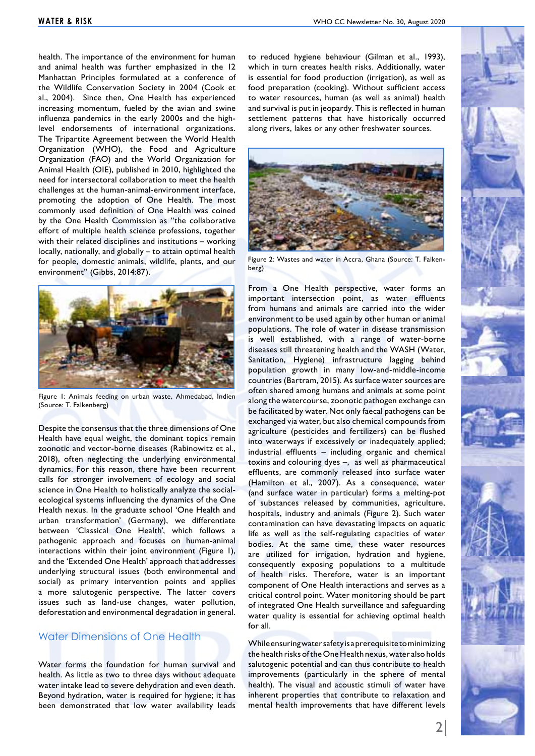health. The importance of the environment for human and animal health was further emphasized in the 12 Manhattan Principles formulated at a conference of the Wildlife Conservation Society in 2004 (Cook et al., 2004). Since then, One Health has experienced increasing momentum, fueled by the avian and swine influenza pandemics in the early 2000s and the highlevel endorsements of international organizations. The Tripartite Agreement between the World Health Organization (WHO), the Food and Agriculture Organization (FAO) and the World Organization for Animal Health (OIE), published in 2010, highlighted the need for intersectoral collaboration to meet the health challenges at the human-animal-environment interface, promoting the adoption of One Health. The most commonly used definition of One Health was coined by the One Health Commission as "the collaborative effort of multiple health science professions, together with their related disciplines and institutions – working locally, nationally, and globally – to attain optimal health for people, domestic animals, wildlife, plants, and our environment" (Gibbs, 2014:87).



Figure 1: Animals feeding on urban waste, Ahmedabad, Indien (Source: T. Falkenberg)

Despite the consensus that the three dimensions of One Health have equal weight, the dominant topics remain zoonotic and vector-borne diseases (Rabinowitz et al., 2018), often neglecting the underlying environmental dynamics. For this reason, there have been recurrent calls for stronger involvement of ecology and social science in One Health to holistically analyze the socialecological systems influencing the dynamics of the One Health nexus. In the graduate school 'One Health and urban transformation' (Germany), we differentiate between 'Classical One Health', which follows a pathogenic approach and focuses on human-animal interactions within their joint environment (Figure 1), and the 'Extended One Health' approach that addresses underlying structural issues (both environmental and social) as primary intervention points and applies a more salutogenic perspective. The latter covers issues such as land-use changes, water pollution, deforestation and environmental degradation in general.

#### Water Dimensions of One Health

Water forms the foundation for human survival and health. As little as two to three days without adequate water intake lead to severe dehydration and even death. Beyond hydration, water is required for hygiene; it has been demonstrated that low water availability leads

to reduced hygiene behaviour (Gilman et al., 1993), which in turn creates health risks. Additionally, water is essential for food production (irrigation), as well as food preparation (cooking). Without sufficient access to water resources, human (as well as animal) health and survival is put in jeopardy. This is reflected in human settlement patterns that have historically occurred along rivers, lakes or any other freshwater sources.



Figure 2: Wastes and water in Accra, Ghana (Source: T. Falkenberg)

From a One Health perspective, water forms an important intersection point, as water effluents from humans and animals are carried into the wider environment to be used again by other human or animal populations. The role of water in disease transmission is well established, with a range of water-borne diseases still threatening health and the WASH (Water, Sanitation, Hygiene) infrastructure lagging behind population growth in many low-and-middle-income countries (Bartram, 2015). As surface water sources are often shared among humans and animals at some point along the watercourse, zoonotic pathogen exchange can be facilitated by water. Not only faecal pathogens can be exchanged via water, but also chemical compounds from agriculture (pesticides and fertilizers) can be flushed into waterways if excessively or inadequately applied; industrial effluents – including organic and chemical toxins and colouring dyes –, as well as pharmaceutical effluents, are commonly released into surface water (Hamilton et al., 2007). As a consequence, water (and surface water in particular) forms a melting-pot of substances released by communities, agriculture, hospitals, industry and animals (Figure 2). Such water contamination can have devastating impacts on aquatic life as well as the self-regulating capacities of water bodies. At the same time, these water resources are utilized for irrigation, hydration and hygiene, consequently exposing populations to a multitude of health risks. Therefore, water is an important component of One Health interactions and serves as a critical control point. Water monitoring should be part of integrated One Health surveillance and safeguarding water quality is essential for achieving optimal health for all.

While ensuring water safety is a prerequisite to minimizing the health risks of the One Health nexus, water also holds salutogenic potential and can thus contribute to health improvements (particularly in the sphere of mental health). The visual and acoustic stimuli of water have inherent properties that contribute to relaxation and mental health improvements that have different levels

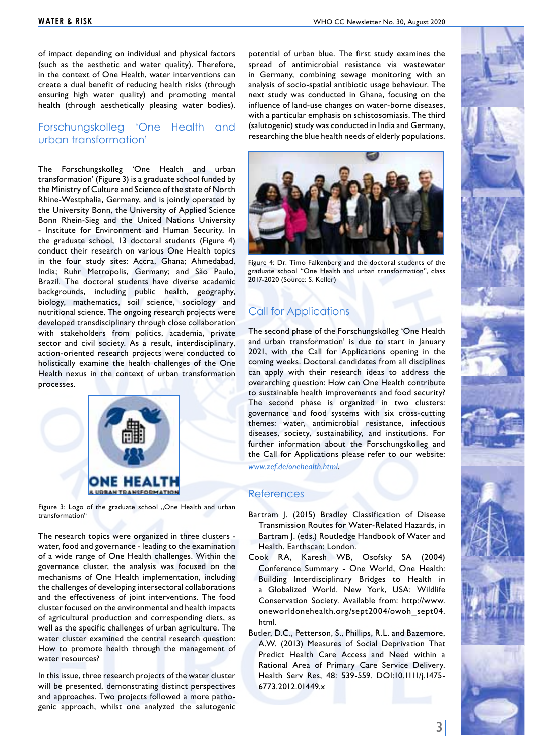of impact depending on individual and physical factors (such as the aesthetic and water quality). Therefore, in the context of One Health, water interventions can create a dual benefit of reducing health risks (through ensuring high water quality) and promoting mental health (through aesthetically pleasing water bodies).

# Forschungskolleg 'One Health and urban transformation'

The Forschungskolleg 'One Health and urban transformation' (Figure 3) is a graduate school funded by the Ministry of Culture and Science of the state of North Rhine-Westphalia, Germany, and is jointly operated by the University Bonn, the University of Applied Science Bonn Rhein-Sieg and the United Nations University - Institute for Environment and Human Security. In the graduate school, 13 doctoral students (Figure 4) conduct their research on various One Health topics in the four study sites: Accra, Ghana; Ahmedabad, India; Ruhr Metropolis, Germany; and São Paulo, Brazil. The doctoral students have diverse academic backgrounds, including public health, geography, biology, mathematics, soil science, sociology and nutritional science. The ongoing research projects were developed transdisciplinary through close collaboration with stakeholders from politics, academia, private sector and civil society. As a result, interdisciplinary, action-oriented research projects were conducted to holistically examine the health challenges of the One Health nexus in the context of urban transformation processes.



Figure 3: Logo of the graduate school "One Health and urban transformation"

The research topics were organized in three clusters water, food and governance - leading to the examination of a wide range of One Health challenges. Within the governance cluster, the analysis was focused on the mechanisms of One Health implementation, including the challenges of developing intersectoral collaborations and the effectiveness of joint interventions. The food cluster focused on the environmental and health impacts of agricultural production and corresponding diets, as well as the specific challenges of urban agriculture. The water cluster examined the central research question: How to promote health through the management of water resources?

In this issue, three research projects of the water cluster will be presented, demonstrating distinct perspectives and approaches. Two projects followed a more pathogenic approach, whilst one analyzed the salutogenic

potential of urban blue. The first study examines the spread of antimicrobial resistance via wastewater in Germany, combining sewage monitoring with an analysis of socio-spatial antibiotic usage behaviour. The next study was conducted in Ghana, focusing on the influence of land-use changes on water-borne diseases, with a particular emphasis on schistosomiasis. The third (salutogenic) study was conducted in India and Germany, researching the blue health needs of elderly populations.



Figure 4: Dr. Timo Falkenberg and the doctoral students of the graduate school "One Health and urban transformation", class 2017-2020 (Source: S. Keller)

# Call for Applications

The second phase of the Forschungskolleg 'One Health and urban transformation' is due to start in January 2021, with the Call for Applications opening in the coming weeks. Doctoral candidates from all disciplines can apply with their research ideas to address the overarching question: How can One Health contribute to sustainable health improvements and food security? The second phase is organized in two clusters: governance and food systems with six cross-cutting themes: water, antimicrobial resistance, infectious diseases, society, sustainability, and institutions. For further information about the Forschungskolleg and the Call for Applications please refer to our website: *<www.zef.de/onehealth.html>*.

#### **References**

- Bartram J. (2015) Bradley Classification of Disease Transmission Routes for Water-Related Hazards, in Bartram J. (eds.) Routledge Handbook of Water and Health. Earthscan: London.
- Cook RA, Karesh WB, Osofsky SA (2004) Conference Summary - One World, One Health: Building Interdisciplinary Bridges to Health in a Globalized World. New York, USA: Wildlife Conservation Society. Available from: http://www. oneworldonehealth.org/sept2004/owoh\_sept04. html.
- Butler, D.C., Petterson, S., Phillips, R.L. and Bazemore, A.W. (2013) Measures of Social Deprivation That Predict Health Care Access and Need within a Rational Area of Primary Care Service Delivery. Health Serv Res, 48: 539-559. DOI:10.1111/j.1475- 6773.2012.01449.x

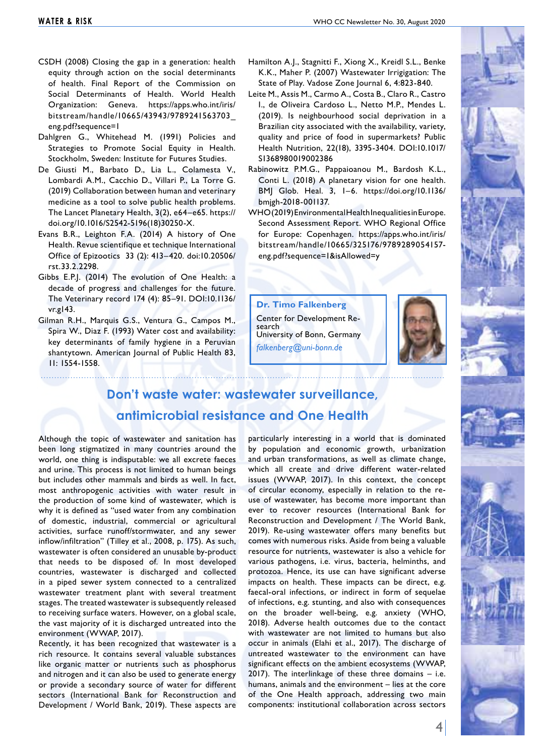- CSDH (2008) Closing the gap in a generation: health equity through action on the social determinants of health. Final Report of the Commission on Social Determinants of Health. World Health Organization: Geneva. https://apps.who.int/iris/ bitstream/handle/10665/43943/9789241563703\_ eng.pdf?sequence=1
- Dahlgren G., Whitehead M. (1991) Policies and Strategies to Promote Social Equity in Health. Stockholm, Sweden: Institute for Futures Studies.
- De Giusti M., Barbato D., Lia L., Colamesta V., Lombardi A.M., Cacchio D., Villari P., La Torre G. (2019) Collaboration between human and veterinary medicine as a tool to solve public health problems. The Lancet Planetary Health, 3(2), e64–e65. https:// doi.org/10.1016/S2542-5196(18)30250-X.
- Evans B.R., Leighton F.A. (2014) A history of One Health. Revue scientifique et technique International Office of Epizootics 33 (2): 413–420. doi:10.20506/ rst.33.2.2298.
- Gibbs E.P.J. (2014) The evolution of One Health: a decade of progress and challenges for the future. The Veterinary record 174 (4): 85–91. DOI:10.1136/ vr.g143.
- Gilman R.H., Marquis G.S., Ventura G., Campos M., Spira W., Diaz F. (1993) Water cost and availability: key determinants of family hygiene in a Peruvian shantytown. American Journal of Public Health 83, 11: 1554-1558.
- Hamilton A.J., Stagnitti F., Xiong X., Kreidl S.L., Benke K.K., Maher P. (2007) Wastewater Irrigigation: The State of Play. Vadose Zone Journal 6, 4:823-840.
- Leite M., Assis M., Carmo A., Costa B., Claro R., Castro I., de Oliveira Cardoso L., Netto M.P., Mendes L. (2019). Is neighbourhood social deprivation in a Brazilian city associated with the availability, variety, quality and price of food in supermarkets? Public Health Nutrition, 22(18), 3395-3404. DOI:10.1017/ S1368980019002386
- Rabinowitz P.M.G., Pappaioanou M., Bardosh K.L., Conti L. (2018) A planetary vision for one health. BMJ Glob. Heal. 3, 1–6. https://doi.org/10.1136/ bmjgh-2018-001137.
- WHO (2019) Environmental Health Inequalities in Europe. Second Assessment Report. WHO Regional Office for Europe: Copenhagen. https://apps.who.int/iris/ bitstream/handle/10665/325176/9789289054157 eng.pdf?sequence=1&isAllowed=y

**Dr. Timo Falkenberg**

Center for Development Re- search University of Bonn, Germany *falkenberg@uni-bonn.de*



# **Don't waste water: wastewater surveillance, antimicrobial resistance and One Health**

Although the topic of wastewater and sanitation has been long stigmatized in many countries around the world, one thing is indisputable: we all excrete faeces and urine. This process is not limited to human beings but includes other mammals and birds as well. In fact, most anthropogenic activities with water result in the production of some kind of wastewater, which is why it is defined as "used water from any combination of domestic, industrial, commercial or agricultural activities, surface runoff/stormwater, and any sewer inflow/infiltration" (Tilley et al., 2008, p. 175). As such, wastewater is often considered an unusable by-product that needs to be disposed of. In most developed countries, wastewater is discharged and collected in a piped sewer system connected to a centralized wastewater treatment plant with several treatment stages. The treated wastewater is subsequently released to receiving surface waters. However, on a global scale, the vast majority of it is discharged untreated into the environment (WWAP, 2017).

Recently, it has been recognized that wastewater is a rich resource. It contains several valuable substances like organic matter or nutrients such as phosphorus and nitrogen and it can also be used to generate energy or provide a secondary source of water for different sectors (International Bank for Reconstruction and Development / World Bank, 2019). These aspects are particularly interesting in a world that is dominated by population and economic growth, urbanization and urban transformations, as well as climate change, which all create and drive different water-related issues (WWAP, 2017). In this context, the concept of circular economy, especially in relation to the reuse of wastewater, has become more important than ever to recover resources (International Bank for Reconstruction and Development / The World Bank, 2019). Re-using wastewater offers many benefits but comes with numerous risks. Aside from being a valuable resource for nutrients, wastewater is also a vehicle for various pathogens, i.e. virus, bacteria, helminths, and protozoa. Hence, its use can have significant adverse impacts on health. These impacts can be direct, e.g. faecal-oral infections, or indirect in form of sequelae of infections, e.g. stunting, and also with consequences on the broader well-being, e.g. anxiety (WHO, 2018). Adverse health outcomes due to the contact with wastewater are not limited to humans but also occur in animals (Elahi et al., 2017). The discharge of untreated wastewater to the environment can have significant effects on the ambient ecosystems (WWAP, 2017). The interlinkage of these three domains – i.e. humans, animals and the environment – lies at the core of the One Health approach, addressing two main components: institutional collaboration across sectors

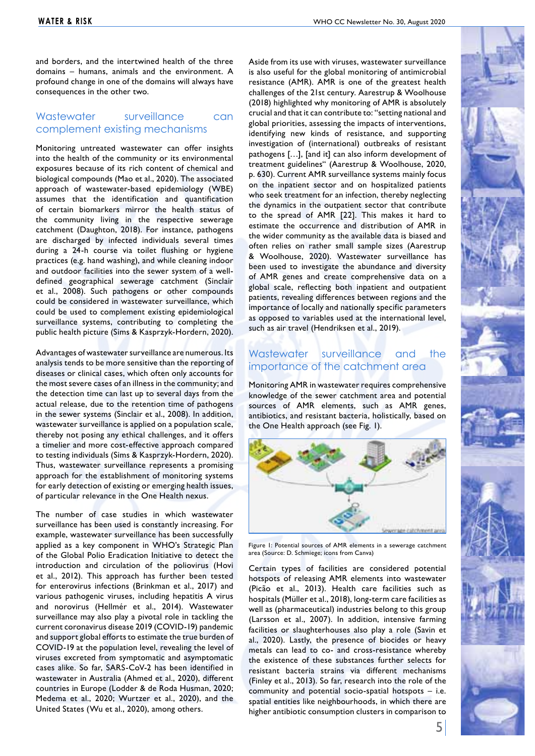and borders, and the intertwined health of the three domains – humans, animals and the environment. A profound change in one of the domains will always have consequences in the other two.

## Wastewater surveillance can complement existing mechanisms

Monitoring untreated wastewater can offer insights into the health of the community or its environmental exposures because of its rich content of chemical and biological compounds (Mao et al., 2020). The associated approach of wastewater-based epidemiology (WBE) assumes that the identification and quantification of certain biomarkers mirror the health status of the community living in the respective sewerage catchment (Daughton, 2018). For instance, pathogens are discharged by infected individuals several times during a 24-h course via toilet flushing or hygiene practices (e.g. hand washing), and while cleaning indoor and outdoor facilities into the sewer system of a welldefined geographical sewerage catchment (Sinclair et al., 2008). Such pathogens or other compounds could be considered in wastewater surveillance, which could be used to complement existing epidemiological surveillance systems, contributing to completing the public health picture (Sims & Kasprzyk-Hordern, 2020).

Advantages of wastewater surveillance are numerous. Its analysis tends to be more sensitive than the reporting of diseases or clinical cases, which often only accounts for the most severe cases of an illness in the community; and the detection time can last up to several days from the actual release, due to the retention time of pathogens in the sewer systems (Sinclair et al., 2008). In addition, wastewater surveillance is applied on a population scale, thereby not posing any ethical challenges, and it offers a timelier and more cost-effective approach compared to testing individuals (Sims & Kasprzyk-Hordern, 2020). Thus, wastewater surveillance represents a promising approach for the establishment of monitoring systems for early detection of existing or emerging health issues, of particular relevance in the One Health nexus.

The number of case studies in which wastewater surveillance has been used is constantly increasing. For example, wastewater surveillance has been successfully applied as a key component in WHO's Strategic Plan of the Global Polio Eradication Initiative to detect the introduction and circulation of the poliovirus (Hovi et al., 2012). This approach has further been tested for enterovirus infections (Brinkman et al., 2017) and various pathogenic viruses, including hepatitis A virus and norovirus (Hellmér et al., 2014). Wastewater surveillance may also play a pivotal role in tackling the current coronavirus disease 2019 (COVID-19) pandemic and support global efforts to estimate the true burden of COVID-19 at the population level, revealing the level of viruses excreted from symptomatic and asymptomatic cases alike. So far, SARS-CoV-2 has been identified in wastewater in Australia (Ahmed et al., 2020), different countries in Europe (Lodder & de Roda Husman, 2020; Medema et al., 2020; Wurtzer et al., 2020), and the United States (Wu et al., 2020), among others.

Aside from its use with viruses, wastewater surveillance is also useful for the global monitoring of antimicrobial resistance (AMR). AMR is one of the greatest health challenges of the 21st century. Aarestrup & Woolhouse (2018) highlighted why monitoring of AMR is absolutely crucial and that it can contribute to: "setting national and global priorities, assessing the impacts of interventions, identifying new kinds of resistance, and supporting investigation of (international) outbreaks of resistant pathogens […], [and it] can also inform development of treatment guidelines" (Aarestrup & Woolhouse, 2020, p. 630). Current AMR surveillance systems mainly focus on the inpatient sector and on hospitalized patients who seek treatment for an infection, thereby neglecting the dynamics in the outpatient sector that contribute to the spread of AMR [22]. This makes it hard to estimate the occurrence and distribution of AMR in the wider community as the available data is biased and often relies on rather small sample sizes (Aarestrup & Woolhouse, 2020). Wastewater surveillance has been used to investigate the abundance and diversity of AMR genes and create comprehensive data on a global scale, reflecting both inpatient and outpatient patients, revealing differences between regions and the importance of locally and nationally specific parameters as opposed to variables used at the international level, such as air travel (Hendriksen et al., 2019).

# Wastewater surveillance and the importance of the catchment area

Monitoring AMR in wastewater requires comprehensive knowledge of the sewer catchment area and potential sources of AMR elements, such as AMR genes, antibiotics, and resistant bacteria, holistically, based on the One Health approach (see Fig. 1).



Figure 1: Potential sources of AMR elements in a sewerage catchment area (Source: D. Schmiege; icons from Canva)

Certain types of facilities are considered potential hotspots of releasing AMR elements into wastewater (Picão et al., 2013). Health care facilities such as hospitals (Müller et al., 2018), long-term care facilities as well as (pharmaceutical) industries belong to this group (Larsson et al., 2007). In addition, intensive farming facilities or slaughterhouses also play a role (Savin et al., 2020). Lastly, the presence of biocides or heavy metals can lead to co- and cross-resistance whereby the existence of these substances further selects for resistant bacteria strains via different mechanisms (Finley et al., 2013). So far, research into the role of the community and potential socio-spatial hotspots – i.e. spatial entities like neighbourhoods, in which there are higher antibiotic consumption clusters in comparison to

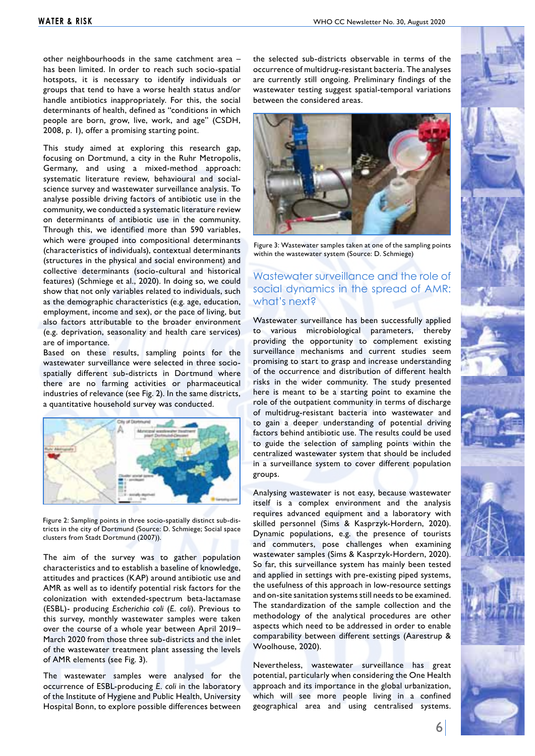other neighbourhoods in the same catchment area – has been limited. In order to reach such socio-spatial hotspots, it is necessary to identify individuals or groups that tend to have a worse health status and/or handle antibiotics inappropriately. For this, the social determinants of health, defined as "conditions in which people are born, grow, live, work, and age" (CSDH, 2008, p. 1), offer a promising starting point.

This study aimed at exploring this research gap, focusing on Dortmund, a city in the Ruhr Metropolis, Germany, and using a mixed-method approach: systematic literature review, behavioural and socialscience survey and wastewater surveillance analysis. To analyse possible driving factors of antibiotic use in the community, we conducted a systematic literature review on determinants of antibiotic use in the community. Through this, we identified more than 590 variables, which were grouped into compositional determinants (characteristics of individuals), contextual determinants (structures in the physical and social environment) and collective determinants (socio-cultural and historical features) (Schmiege et al., 2020). In doing so, we could show that not only variables related to individuals, such as the demographic characteristics (e.g. age, education, employment, income and sex), or the pace of living, but also factors attributable to the broader environment (e.g. deprivation, seasonality and health care services) are of importance.

Based on these results, sampling points for the wastewater surveillance were selected in three sociospatially different sub-districts in Dortmund where there are no farming activities or pharmaceutical industries of relevance (see Fig. 2). In the same districts, a quantitative household survey was conducted.



Figure 2: Sampling points in three socio-spatially distinct sub-districts in the city of Dortmund (Source: D. Schmiege; Social space clusters from Stadt Dortmund (2007)).

The aim of the survey was to gather population characteristics and to establish a baseline of knowledge, attitudes and practices (KAP) around antibiotic use and AMR as well as to identify potential risk factors for the colonization with extended-spectrum beta-lactamase (ESBL)- producing *Escherichia coli* (*E. coli*). Previous to this survey, monthly wastewater samples were taken over the course of a whole year between April 2019– March 2020 from those three sub-districts and the inlet of the wastewater treatment plant assessing the levels of AMR elements (see Fig. 3).

The wastewater samples were analysed for the occurrence of ESBL-producing *E. coli* in the laboratory of the Institute of Hygiene and Public Health, University Hospital Bonn, to explore possible differences between the selected sub-districts observable in terms of the occurrence of multidrug-resistant bacteria. The analyses are currently still ongoing. Preliminary findings of the wastewater testing suggest spatial-temporal variations between the considered areas.



Figure 3: Wastewater samples taken at one of the sampling points within the wastewater system (Source: D. Schmiege)

# Wastewater surveillance and the role of social dynamics in the spread of AMR: what's next?

Wastewater surveillance has been successfully applied to various microbiological parameters, thereby providing the opportunity to complement existing surveillance mechanisms and current studies seem promising to start to grasp and increase understanding of the occurrence and distribution of different health risks in the wider community. The study presented here is meant to be a starting point to examine the role of the outpatient community in terms of discharge of multidrug-resistant bacteria into wastewater and to gain a deeper understanding of potential driving factors behind antibiotic use. The results could be used to guide the selection of sampling points within the centralized wastewater system that should be included in a surveillance system to cover different population groups.

Analysing wastewater is not easy, because wastewater itself is a complex environment and the analysis requires advanced equipment and a laboratory with skilled personnel (Sims & Kasprzyk-Hordern, 2020). Dynamic populations, e.g. the presence of tourists and commuters, pose challenges when examining wastewater samples (Sims & Kasprzyk-Hordern, 2020). So far, this surveillance system has mainly been tested and applied in settings with pre-existing piped systems, the usefulness of this approach in low-resource settings and on-site sanitation systems still needs to be examined. The standardization of the sample collection and the methodology of the analytical procedures are other aspects which need to be addressed in order to enable comparability between different settings (Aarestrup & Woolhouse, 2020).

Nevertheless, wastewater surveillance has great potential, particularly when considering the One Health approach and its importance in the global urbanization, which will see more people living in a confined geographical area and using centralised systems.

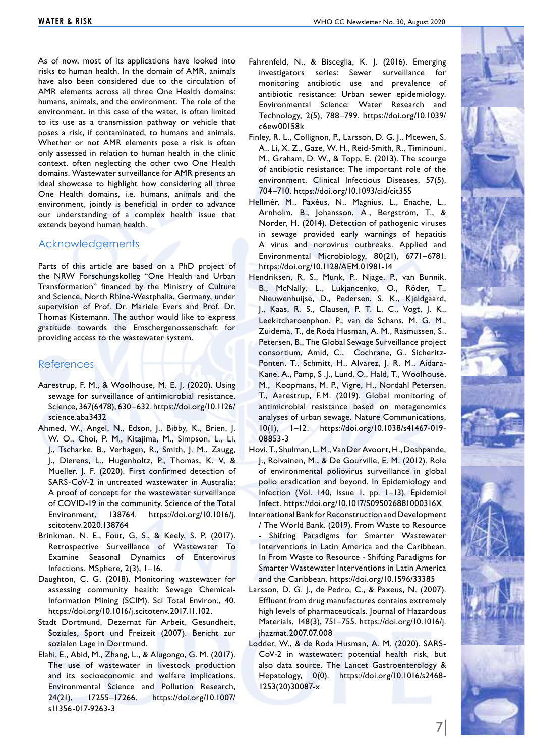As of now, most of its applications have looked into risks to human health. In the domain of AMR, animals have also been considered due to the circulation of AMR elements across all three One Health domains: humans, animals, and the environment. The role of the environment, in this case of the water, is often limited to its use as a transmission pathway or vehicle that poses a risk, if contaminated, to humans and animals. Whether or not AMR elements pose a risk is often only assessed in relation to human health in the clinic context, often neglecting the other two One Health domains. Wastewater surveillance for AMR presents an ideal showcase to highlight how considering all three One Health domains, i.e. humans, animals and the environment, jointly is beneficial in order to advance our understanding of a complex health issue that extends beyond human health.

#### Acknowledgements

Parts of this article are based on a PhD project of the NRW Forschungskolleg "One Health and Urban Transformation" financed by the Ministry of Culture and Science, North Rhine-Westphalia, Germany, under supervision of Prof. Dr. Mariele Evers and Prof. Dr. Thomas Kistemann. The author would like to express gratitude towards the Emschergenossenschaft for providing access to the wastewater system.

#### References

- Aarestrup, F. M., & Woolhouse, M. E. J. (2020). Using sewage for surveillance of antimicrobial resistance. Science, 367(6478), 630–632. https://doi.org/10.1126/ science.aba3432
- Ahmed, W., Angel, N., Edson, J., Bibby, K., Brien, J. W. O., Choi, P. M., Kitajima, M., Simpson, L., Li, J., Tscharke, B., Verhagen, R., Smith, J. M., Zaugg, J., Dierens, L., Hugenholtz, P., Thomas, K. V, & Mueller, J. F. (2020). First confirmed detection of SARS-CoV-2 in untreated wastewater in Australia: A proof of concept for the wastewater surveillance of COVID-19 in the community. Science of the Total Environment, 138764. https://doi.org/10.1016/j. scitotenv.2020.138764
- Brinkman, N. E., Fout, G. S., & Keely, S. P. (2017). Retrospective Surveillance of Wastewater To Examine Seasonal Dynamics of Enterovirus Infections. MSphere, 2(3), 1–16.
- Daughton, C. G. (2018). Monitoring wastewater for assessing community health: Sewage Chemical-Information Mining (SCIM). Sci Total Environ., 40. https://doi.org/10.1016/j.scitotenv.2017.11.102.
- Stadt Dortmund, Dezernat für Arbeit, Gesundheit, Soziales, Sport und Freizeit (2007). Bericht zur sozialen Lage in Dortmund.
- Elahi, E., Abid, M., Zhang, L., & Alugongo, G. M. (2017). The use of wastewater in livestock production and its socioeconomic and welfare implications. Environmental Science and Pollution Research, 24(21), 17255–17266. https://doi.org/10.1007/ s11356-017-9263-3
- Fahrenfeld, N., & Bisceglia, K. J. (2016). Emerging investigators series: Sewer surveillance for monitoring antibiotic use and prevalence of antibiotic resistance: Urban sewer epidemiology. Environmental Science: Water Research and Technology, 2(5), 788–799. https://doi.org/10.1039/ c6ew00158k
- Finley, R. L., Collignon, P., Larsson, D. G. J., Mcewen, S. A., Li, X. Z., Gaze, W. H., Reid-Smith, R., Timinouni, M., Graham, D. W., & Topp, E. (2013). The scourge of antibiotic resistance: The important role of the environment. Clinical Infectious Diseases, 57(5), 704–710. https://doi.org/10.1093/cid/cit355
- Hellmér, M., Paxéus, N., Magnius, L., Enache, L., Arnholm, B., Johansson, A., Bergström, T., & Norder, H. (2014). Detection of pathogenic viruses in sewage provided early warnings of hepatitis A virus and norovirus outbreaks. Applied and Environmental Microbiology, 80(21), 6771–6781. https://doi.org/10.1128/AEM.01981-14
- Hendriksen, R. S., Munk, P., Njage, P., van Bunnik, B., McNally, L., Lukjancenko, O., Röder, T., Nieuwenhuijse, D., Pedersen, S. K., Kjeldgaard, J., Kaas, R. S., Clausen, P. T. L. C., Vogt, J. K., Leekitcharoenphon, P., van de Schans, M. G. M., Zuidema, T., de Roda Husman, A. M., Rasmussen, S., Petersen, B., The Global Sewage Surveillance project consortium, Amid, C., Cochrane, G., Sicheritz-Ponten, T., Schmitt, H., Alvarez, J. R. M., Aidara-Kane, A., Pamp, S .J., Lund, O., Hald, T., Woolhouse, M., Koopmans, M. P., Vigre, H., Nordahl Petersen, T., Aarestrup, F.M. (2019). Global monitoring of antimicrobial resistance based on metagenomics analyses of urban sewage. Nature Communications, 10(1), 1–12. https://doi.org/10.1038/s41467-019- 08853-3
- Hovi, T., Shulman, L. M., Van Der Avoort, H., Deshpande, J., Roivainen, M., & De Gourville, E. M. (2012). Role of environmental poliovirus surveillance in global polio eradication and beyond. In Epidemiology and Infection (Vol. 140, Issue 1, pp. 1–13). Epidemiol Infect. https://doi.org/10.1017/S095026881000316X
- International Bank for Reconstruction and Development / The World Bank. (2019). From Waste to Resource - Shifting Paradigms for Smarter Wastewater Interventions in Latin America and the Caribbean. In From Waste to Resource - Shifting Paradigms for Smarter Wastewater Interventions in Latin America and the Caribbean. https://doi.org/10.1596/33385
- Larsson, D. G. J., de Pedro, C., & Paxeus, N. (2007). Effluent from drug manufactures contains extremely high levels of pharmaceuticals. Journal of Hazardous Materials, 148(3), 751–755. https://doi.org/10.1016/j. jhazmat.2007.07.008
- Lodder, W., & de Roda Husman, A. M. (2020). SARS-CoV-2 in wastewater: potential health risk, but also data source. The Lancet Gastroenterology & Hepatology, 0(0). https://doi.org/10.1016/s2468- 1253(20)30087-x

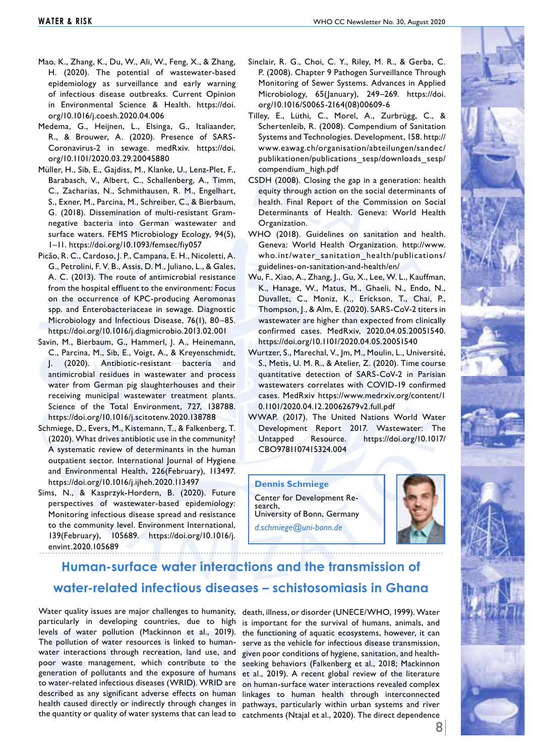- Mao, K., Zhang, K., Du, W., Ali, W., Feng, X., & Zhang, H. (2020). The potential of wastewater-based epidemiology as surveillance and early warning of infectious disease outbreaks. Current Opinion in Environmental Science & Health. https://doi. org/10.1016/j.coesh.2020.04.006
- Medema, G., Heijnen, L., Elsinga, G., Italiaander, R., & Brouwer, A. (2020). Presence of SARS-Coronavirus-2 in sewage. medRxiv. https://doi. org/10.1101/2020.03.29.20045880
- Müller, H., Sib, E., Gajdiss, M., Klanke, U., Lenz-Plet, F., Barabasch, V., Albert, C., Schallenberg, A., Timm, C., Zacharias, N., Schmithausen, R. M., Engelhart, S., Exner, M., Parcina, M., Schreiber, C., & Bierbaum, G. (2018). Dissemination of multi-resistant Gramnegative bacteria into German wastewater and surface waters. FEMS Microbiology Ecology, 94(5), 1–11. https://doi.org/10.1093/femsec/fiy057
- Picão, R. C., Cardoso, J. P., Campana, E. H., Nicoletti, A. G., Petrolini, F. V. B., Assis, D. M., Juliano, L., & Gales, A. C. (2013). The route of antimicrobial resistance from the hospital effluent to the environment: Focus on the occurrence of KPC-producing Aeromonas spp. and Enterobacteriaceae in sewage. Diagnostic Microbiology and Infectious Disease, 76(1), 80–85. https://doi.org/10.1016/j.diagmicrobio.2013.02.001
- Savin, M., Bierbaum, G., Hammerl, J. A., Heinemann, C., Parcina, M., Sib, E., Voigt, A., & Kreyenschmidt, J. (2020). Antibiotic-resistant bacteria and antimicrobial residues in wastewater and process water from German pig slaughterhouses and their receiving municipal wastewater treatment plants. Science of the Total Environment, 727, 138788. https://doi.org/10.1016/j.scitotenv.2020.138788
- Schmiege, D., Evers, M., Kistemann, T., & Falkenberg, T. (2020). What drives antibiotic use in the community? A systematic review of determinants in the human outpatient sector. International Journal of Hygiene and Environmental Health, 226(February), 113497. https://doi.org/10.1016/j.ijheh.2020.113497
- Sims, N., & Kasprzyk-Hordern, B. (2020). Future perspectives of wastewater-based epidemiology: Monitoring infectious disease spread and resistance to the community level. Environment International, 139(February), 105689. https://doi.org/10.1016/j. envint.2020.105689
- Sinclair, R. G., Choi, C. Y., Riley, M. R., & Gerba, C. P. (2008). Chapter 9 Pathogen Surveillance Through Monitoring of Sewer Systems. Advances in Applied Microbiology, 65(January), 249–269. https://doi. org/10.1016/S0065-2164(08)00609-6
- Tilley, E., Lüthi, C., Morel, A., Zurbrügg, C., & Schertenleib, R. (2008). Compendium of Sanitation Systems and Technologies. Development, 158. http:// www.eawag.ch/organisation/abteilungen/sandec/ publikationen/publications\_sesp/downloads\_sesp/ compendium\_high.pdf
- CSDH (2008). Closing the gap in a generation: health equity through action on the social determinants of health. Final Report of the Commission on Social Determinants of Health. Geneva: World Health Organization.
- WHO (2018). Guidelines on sanitation and health. Geneva: World Health Organization. http://www. who.int/water\_sanitation\_health/publications/ guidelines-on-sanitation-and-health/en/
- Wu, F., Xiao, A., Zhang, J., Gu, X., Lee, W. L., Kauffman, K., Hanage, W., Matus, M., Ghaeli, N., Endo, N., Duvallet, C., Moniz, K., Erickson, T., Chai, P., Thompson, J., & Alm, E. (2020). SARS-CoV-2 titers in wastewater are higher than expected from clinically confirmed cases. MedRxiv, 2020.04.05.20051540. https://doi.org/10.1101/2020.04.05.20051540
- Wurtzer, S., Marechal, V., Jm, M., Moulin, L., Université, S., Metis, U. M. R., & Atelier, Z. (2020). Time course quantitative detection of SARS-CoV-2 in Parisian wastewaters correlates with COVID-19 confirmed cases. MedRxiv https://www.medrxiv.org/content/1 0.1101/2020.04.12.20062679v2.full.pdf
- WWAP. (2017). The United Nations World Water Development Report 2017. Wastewater: The Untapped Resource. https://doi.org/10.1017/ CBO9781107415324.004

**Dennis Schmiege** Center for Development Re-<br>search, University of Bonn, Germany

*d.schmiege@uni-bonn.de*



# **Human-surface water interactions and the transmission of water-related infectious diseases – schistosomiasis in Ghana**

Water quality issues are major challenges to humanity, death, illness, or disorder (UNECE/WHO, 1999). Water particularly in developing countries, due to high is important for the survival of humans, animals, and levels of water pollution (Mackinnon et al., 2019). The pollution of water resources is linked to humanwater interactions through recreation, land use, and poor waste management, which contribute to the generation of pollutants and the exposure of humans to water-related infectious diseases (WRID). WRID are described as any significant adverse effects on human health caused directly or indirectly through changes in pathways, particularly within urban systems and river

the quantity or quality of water systems that can lead to catchments (Ntajal et al., 2020). The direct dependence the functioning of aquatic ecosystems, however, it can serve as the vehicle for infectious disease transmission, given poor conditions of hygiene, sanitation, and healthseeking behaviors (Falkenberg et al., 2018; Mackinnon et al., 2019). A recent global review of the literature on human-surface water interactions revealed complex linkages to human health through interconnected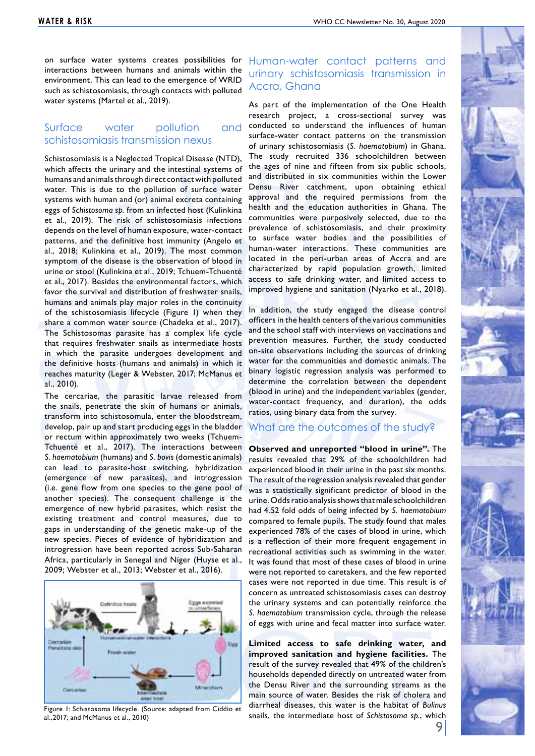on surface water systems creates possibilities for interactions between humans and animals within the environment. This can lead to the emergence of WRID such as schistosomiasis, through contacts with polluted water systems (Martel et al., 2019).

#### Surface water pollution and schistosomiasis transmission nexus

Schistosomiasis is a Neglected Tropical Disease (NTD), which affects the urinary and the intestinal systems of humans and animals through direct contact with polluted water. This is due to the pollution of surface water systems with human and (or) animal excreta containing eggs of *Schistosoma sp.* from an infected host (Kulinkina et al., 2019). The risk of schistosomiasis infections depends on the level of human exposure, water-contact patterns, and the definitive host immunity (Angelo et al., 2018; Kulinkina et al., 2019). The most common symptom of the disease is the observation of blood in urine or stool (Kulinkina et al., 2019; Tchuem-Tchuenté et al., 2017). Besides the environmental factors, which favor the survival and distribution of freshwater snails, humans and animals play major roles in the continuity of the schistosomiasis lifecycle (Figure 1) when they share a common water source (Chadeka et al., 2017). The Schistosomas parasite has a complex life cycle that requires freshwater snails as intermediate hosts in which the parasite undergoes development and the definitive hosts (humans and animals) in which it reaches maturity (Leger & Webster, 2017; McManus et al., 2010).

The cercariae, the parasitic larvae released from the snails, penetrate the skin of humans or animals, transform into schistosomula, enter the bloodstream, develop, pair up and start producing eggs in the bladder or rectum within approximately two weeks (Tchuem-Tchuenté et al., 2017). The interactions between *S. haematobium* (humans) and *S. bovis* (domestic animals) can lead to parasite-host switching, hybridization (emergence of new parasites), and introgression (i.e. gene flow from one species to the gene pool of another species). The consequent challenge is the emergence of new hybrid parasites, which resist the existing treatment and control measures, due to gaps in understanding of the genetic make-up of the new species. Pieces of evidence of hybridization and introgression have been reported across Sub-Saharan Africa, particularly in Senegal and Niger (Huyse et al., 2009; Webster et al., 2013; Webster et al., 2016).



al.,2017; and McManus et al., 2010)

# Human-water contact patterns and urinary schistosomiasis transmission in Accra, Ghana

As part of the implementation of the One Health research project, a cross-sectional survey was conducted to understand the influences of human surface-water contact patterns on the transmission of urinary schistosomiasis (*S. haematobium*) in Ghana. The study recruited 336 schoolchildren between the ages of nine and fifteen from six public schools, and distributed in six communities within the Lower Densu River catchment, upon obtaining ethical approval and the required permissions from the health and the education authorities in Ghana. The communities were purposively selected, due to the prevalence of schistosomiasis, and their proximity to surface water bodies and the possibilities of human-water interactions. These communities are located in the peri-urban areas of Accra and are characterized by rapid population growth, limited access to safe drinking water, and limited access to improved hygiene and sanitation (Nyarko et al., 2018).

In addition, the study engaged the disease control officers in the health centers of the various communities and the school staff with interviews on vaccinations and prevention measures. Further, the study conducted on-site observations including the sources of drinking water for the communities and domestic animals. The binary logistic regression analysis was performed to determine the correlation between the dependent (blood in urine) and the independent variables (gender, water-contact frequency, and duration), the odds ratios, using binary data from the survey.

#### What are the outcomes of the study?

**Observed and unreported "blood in urine".** The results revealed that 29% of the schoolchildren had experienced blood in their urine in the past six months. The result of the regression analysis revealed that gender was a statistically significant predictor of blood in the urine. Odds ratio analysis shows that male schoolchildren had 4.52 fold odds of being infected by *S. haematobium* compared to female pupils. The study found that males experienced 78% of the cases of blood in urine, which is a reflection of their more frequent engagement in recreational activities such as swimming in the water. It was found that most of these cases of blood in urine were not reported to caretakers, and the few reported cases were not reported in due time. This result is of concern as untreated schistosomiasis cases can destroy the urinary systems and can potentially reinforce the *S. haematobium* transmission cycle, through the release of eggs with urine and fecal matter into surface water.

**Limited access to safe drinking water, and improved sanitation and hygiene facilities.** The result of the survey revealed that 49% of the children's households depended directly on untreated water from the Densu River and the surrounding streams as the main source of water. Besides the risk of cholera and diarrheal diseases, this water is the habitat of *Bulinus* snails, the intermediate host of *Schistosoma sp.*, which Figure 1: Schistosoma lifecycle. (Source: adapted from Ciddio et

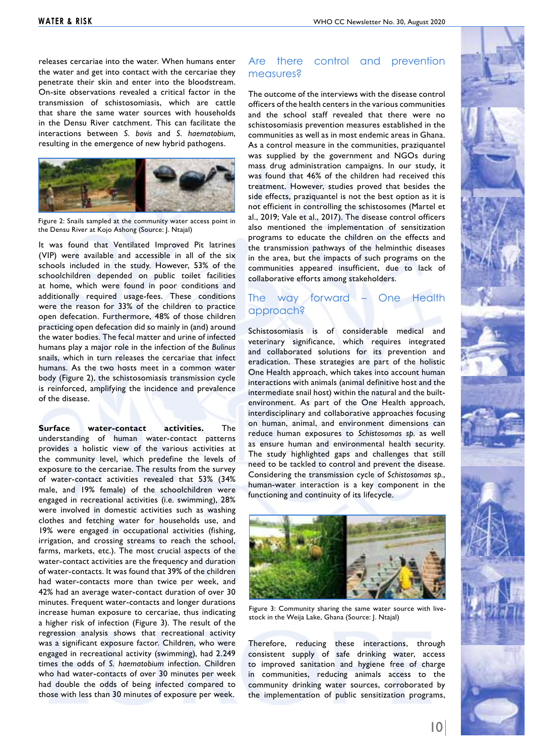releases cercariae into the water. When humans enter the water and get into contact with the cercariae they penetrate their skin and enter into the bloodstream. On-site observations revealed a critical factor in the transmission of schistosomiasis, which are cattle that share the same water sources with households in the Densu River catchment. This can facilitate the interactions between *S. bovis* and *S. haematobium*, resulting in the emergence of new hybrid pathogens.



Figure 2: Snails sampled at the community water access point in the Densu River at Kojo Ashong (Source: J. Ntajal)

It was found that Ventilated Improved Pit latrines (VIP) were available and accessible in all of the six schools included in the study. However, 53% of the schoolchildren depended on public toilet facilities at home, which were found in poor conditions and additionally required usage-fees. These conditions were the reason for 33% of the children to practice open defecation. Furthermore, 48% of those children practicing open defecation did so mainly in (and) around the water bodies. The fecal matter and urine of infected humans play a major role in the infection of the *Bulinus* snails, which in turn releases the cercariae that infect humans. As the two hosts meet in a common water body (Figure 2), the schistosomiasis transmission cycle is reinforced, amplifying the incidence and prevalence of the disease.

**Surface water-contact activities.** The understanding of human water-contact patterns provides a holistic view of the various activities at the community level, which predefine the levels of exposure to the cercariae. The results from the survey of water-contact activities revealed that 53% (34% male, and 19% female) of the schoolchildren were engaged in recreational activities (i.e. swimming), 28% were involved in domestic activities such as washing clothes and fetching water for households use, and 19% were engaged in occupational activities (fishing, irrigation, and crossing streams to reach the school, farms, markets, etc.). The most crucial aspects of the water-contact activities are the frequency and duration of water-contacts. It was found that 39% of the children had water-contacts more than twice per week, and 42% had an average water-contact duration of over 30 minutes. Frequent water-contacts and longer durations increase human exposure to cercariae, thus indicating a higher risk of infection (Figure 3). The result of the regression analysis shows that recreational activity was a significant exposure factor. Children, who were engaged in recreational activity (swimming), had 2.249 times the odds of *S. haematobium* infection. Children who had water-contacts of over 30 minutes per week had double the odds of being infected compared to those with less than 30 minutes of exposure per week.

#### Are there control and prevention measures?

The outcome of the interviews with the disease control officers of the health centers in the various communities and the school staff revealed that there were no schistosomiasis prevention measures established in the communities as well as in most endemic areas in Ghana. As a control measure in the communities, praziquantel was supplied by the government and NGOs during mass drug administration campaigns. In our study, it was found that 46% of the children had received this treatment. However, studies proved that besides the side effects, praziquantel is not the best option as it is not efficient in controlling the schistosomes (Martel et al., 2019; Vale et al., 2017). The disease control officers also mentioned the implementation of sensitization programs to educate the children on the effects and the transmission pathways of the helminthic diseases in the area, but the impacts of such programs on the communities appeared insufficient, due to lack of collaborative efforts among stakeholders.

#### The way forward – One Health approach?

Schistosomiasis is of considerable medical and veterinary significance, which requires integrated and collaborated solutions for its prevention and eradication. These strategies are part of the holistic One Health approach, which takes into account human interactions with animals (animal definitive host and the intermediate snail host) within the natural and the builtenvironment. As part of the One Health approach, interdisciplinary and collaborative approaches focusing on human, animal, and environment dimensions can reduce human exposures to *Schistosomas sp.* as well as ensure human and environmental health security. The study highlighted gaps and challenges that still need to be tackled to control and prevent the disease. Considering the transmission cycle of *Schistosomas sp.*, human-water interaction is a key component in the functioning and continuity of its lifecycle.



Figure 3: Community sharing the same water source with livestock in the Weija Lake, Ghana (Source: J. Ntajal)

Therefore, reducing these interactions, through consistent supply of safe drinking water, access to improved sanitation and hygiene free of charge in communities, reducing animals access to the community drinking water sources, corroborated by the implementation of public sensitization programs,

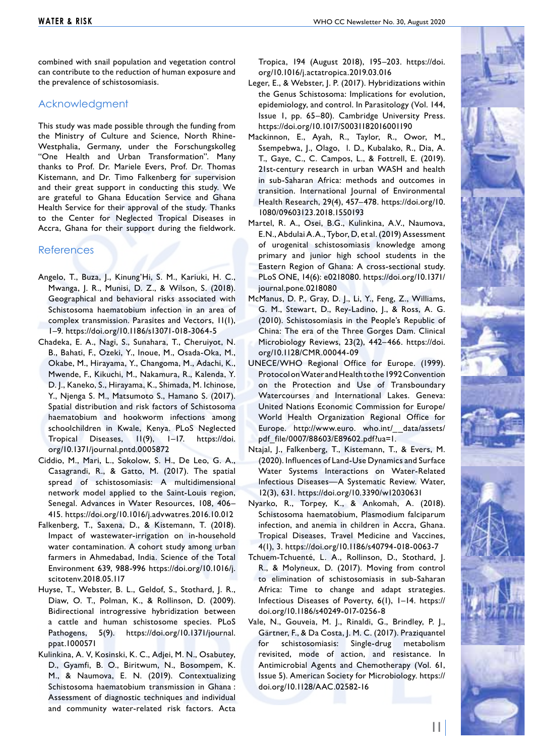combined with snail population and vegetation control can contribute to the reduction of human exposure and the prevalence of schistosomiasis.

#### Acknowledgment

This study was made possible through the funding from the Ministry of Culture and Science, North Rhine-Westphalia, Germany, under the Forschungskolleg "One Health and Urban Transformation". Many thanks to Prof. Dr. Mariele Evers, Prof. Dr. Thomas Kistemann, and Dr. Timo Falkenberg for supervision and their great support in conducting this study. We are grateful to Ghana Education Service and Ghana Health Service for their approval of the study. Thanks to the Center for Neglected Tropical Diseases in Accra, Ghana for their support during the fieldwork.

#### **References**

- Angelo, T., Buza, J., Kinung'Hi, S. M., Kariuki, H. C., Mwanga, J. R., Munisi, D. Z., & Wilson, S. (2018). Geographical and behavioral risks associated with Schistosoma haematobium infection in an area of complex transmission. Parasites and Vectors, 11(1), 1–9. https://doi.org/10.1186/s13071-018-3064-5
- Chadeka, E. A., Nagi, S., Sunahara, T., Cheruiyot, N. B., Bahati, F., Ozeki, Y., Inoue, M., Osada-Oka, M., Okabe, M., Hirayama, Y., Changoma, M., Adachi, K., Mwende, F., Kikuchi, M., Nakamura, R., Kalenda, Y. D. J., Kaneko, S., Hirayama, K., Shimada, M. Ichinose, Y., Njenga S. M., Matsumoto S., Hamano S. (2017). Spatial distribution and risk factors of Schistosoma haematobium and hookworm infections among schoolchildren in Kwale, Kenya. PLoS Neglected Tropical Diseases, 11(9), 1–17. https://doi. org/10.1371/journal.pntd.0005872
- Ciddio, M., Mari, L., Sokolow, S. H., De Leo, G. A., Casagrandi, R., & Gatto, M. (2017). The spatial spread of schistosomiasis: A multidimensional network model applied to the Saint-Louis region, Senegal. Advances in Water Resources, 108, 406– 415. https://doi.org/10.1016/j.advwatres.2016.10.012
- Falkenberg, T., Saxena, D., & Kistemann, T. (2018). Impact of wastewater-irrigation on in-household water contamination. A cohort study among urban farmers in Ahmedabad, India. Science of the Total Environment 639, 988-996 https://doi.org/10.1016/j. scitotenv.2018.05.117
- Huyse, T., Webster, B. L., Geldof, S., Stothard, J. R., Diaw, O. T., Polman, K., & Rollinson, D. (2009). Bidirectional introgressive hybridization between a cattle and human schistosome species. PLoS Pathogens, 5(9). https://doi.org/10.1371/journal. ppat.1000571
- Kulinkina, A. V, Kosinski, K. C., Adjei, M. N., Osabutey, D., Gyamfi, B. O., Biritwum, N., Bosompem, K. M., & Naumova, E. N. (2019). Contextualizing Schistosoma haematobium transmission in Ghana : Assessment of diagnostic techniques and individual and community water-related risk factors. Acta

Tropica, 194 (August 2018), 195–203. https://doi. org/10.1016/j.actatropica.2019.03.016

- Leger, E., & Webster, J. P. (2017). Hybridizations within the Genus Schistosoma: Implications for evolution, epidemiology, and control. In Parasitology (Vol. 144, Issue 1, pp. 65–80). Cambridge University Press. https://doi.org/10.1017/S0031182016001190
- Mackinnon, E., Ayah, R., Taylor, R., Owor, M., Ssempebwa, J., Olago, l. D., Kubalako, R., Dia, A. T., Gaye, C., C. Campos, L., & Fottrell, E. (2019). 21st-century research in urban WASH and health in sub-Saharan Africa: methods and outcomes in transition. International Journal of Environmental Health Research, 29(4), 457–478. https://doi.org/10. 1080/09603123.2018.1550193
- Martel, R. A., Osei, B.G., Kulinkina, A.V., Naumova, E.N., Abdulai A.A., Tybor, D, et al. (2019) Assessment of urogenital schistosomiasis knowledge among primary and junior high school students in the Eastern Region of Ghana: A cross-sectional study. PLoS ONE, 14(6): e0218080. https://doi.org/10.1371/ journal.pone.0218080
- McManus, D. P., Gray, D. J., Li, Y., Feng, Z., Williams, G. M., Stewart, D., Rey-Ladino, J., & Ross, A. G. (2010). Schistosomiasis in the People's Republic of China: The era of the Three Gorges Dam. Clinical Microbiology Reviews, 23(2), 442–466. https://doi. org/10.1128/CMR.00044-09
- UNECE/WHO Regional Office for Europe. (1999). Protocol on Water and Health to the 1992 Convention on the Protection and Use of Transboundary Watercourses and International Lakes. Geneva: United Nations Economic Commission for Europe/ World Health Organization Regional Office for Europe. http://www.euro. who.int/\_\_data/assets/ pdf\_file/0007/88603/E89602.pdf?ua=1.
- Ntajal, J., Falkenberg, T., Kistemann, T., & Evers, M. (2020). Influences of Land-Use Dynamics and Surface Water Systems Interactions on Water-Related Infectious Diseases—A Systematic Review. Water, 12(3), 631. https://doi.org/10.3390/w12030631
- Nyarko, R., Torpey, K., & Ankomah, A. (2018). Schistosoma haematobium, Plasmodium falciparum infection, and anemia in children in Accra, Ghana. Tropical Diseases, Travel Medicine and Vaccines, 4(1), 3. https://doi.org/10.1186/s40794-018-0063-7
- Tchuem-Tchuenté, L. A., Rollinson, D., Stothard, J. R., & Molyneux, D. (2017). Moving from control to elimination of schistosomiasis in sub-Saharan Africa: Time to change and adapt strategies. Infectious Diseases of Poverty, 6(1), 1–14. https:// doi.org/10.1186/s40249-017-0256-8
- Vale, N., Gouveia, M. J., Rinaldi, G., Brindley, P. J., Gärtner, F., & Da Costa, J. M. C. (2017). Praziquantel for schistosomiasis: Single-drug metabolism revisited, mode of action, and resistance. In Antimicrobial Agents and Chemotherapy (Vol. 61, Issue 5). American Society for Microbiology. https:// doi.org/10.1128/AAC.02582-16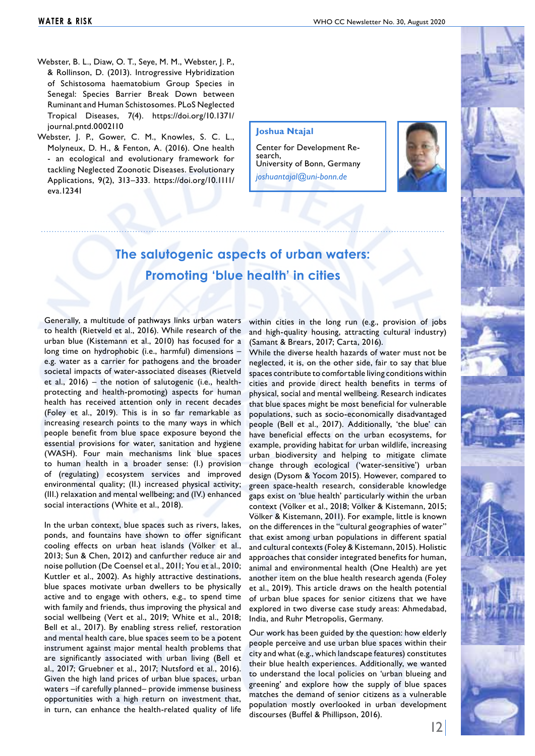- Webster, B. L., Diaw, O. T., Seye, M. M., Webster, J. P., & Rollinson, D. (2013). Introgressive Hybridization of Schistosoma haematobium Group Species in Senegal: Species Barrier Break Down between Ruminant and Human Schistosomes. PLoS Neglected Tropical Diseases, 7(4). https://doi.org/10.1371/ journal.pntd.0002110
- Webster, J. P., Gower, C. M., Knowles, S. C. L., Molyneux, D. H., & Fenton, A. (2016). One health - an ecological and evolutionary framework for tackling Neglected Zoonotic Diseases. Evolutionary Applications, 9(2), 313–333. https://doi.org/10.1111/ eva.12341

#### **Joshua Ntajal**

Center for Development Re- search, University of Bonn, Germany *joshuantajal@uni-bonn.de*



# **The salutogenic aspects of urban waters: Promoting 'blue health' in cities**

Generally, a multitude of pathways links urban waters to health (Rietveld et al., 2016). While research of the urban blue (Kistemann et al., 2010) has focused for a long time on hydrophobic (i.e., harmful) dimensions – e.g. water as a carrier for pathogens and the broader societal impacts of water-associated diseases (Rietveld et al., 2016) – the notion of salutogenic (i.e., healthprotecting and health-promoting) aspects for human health has received attention only in recent decades (Foley et al., 2019). This is in so far remarkable as increasing research points to the many ways in which people benefit from blue space exposure beyond the essential provisions for water, sanitation and hygiene (WASH). Four main mechanisms link blue spaces to human health in a broader sense: (I.) provision of (regulating) ecosystem services and improved environmental quality; (II.) increased physical activity; (III.) relaxation and mental wellbeing; and (IV.) enhanced social interactions (White et al., 2018).

In the urban context, blue spaces such as rivers, lakes, ponds, and fountains have shown to offer significant cooling effects on urban heat islands (Völker et al., 2013; Sun & Chen, 2012) and canfurther reduce air and noise pollution (De Coensel et al., 2011; You et al., 2010; Kuttler et al., 2002). As highly attractive destinations, blue spaces motivate urban dwellers to be physically active and to engage with others, e.g., to spend time with family and friends, thus improving the physical and social wellbeing (Vert et al., 2019; White et al., 2018; Bell et al., 2017). By enabling stress relief, restoration and mental health care, blue spaces seem to be a potent instrument against major mental health problems that are significantly associated with urban living (Bell et al., 2017; Gruebner et al., 2017; Nutsford et al., 2016). Given the high land prices of urban blue spaces, urban waters –if carefully planned– provide immense business opportunities with a high return on investment that, in turn, can enhance the health-related quality of life

within cities in the long run (e.g., provision of jobs and high-quality housing, attracting cultural industry) (Samant & Brears, 2017; Carta, 2016).

While the diverse health hazards of water must not be neglected, it is, on the other side, fair to say that blue spaces contribute to comfortable living conditions within cities and provide direct health benefits in terms of physical, social and mental wellbeing. Research indicates that blue spaces might be most beneficial for vulnerable populations, such as socio-economically disadvantaged people (Bell et al., 2017). Additionally, 'the blue' can have beneficial effects on the urban ecosystems, for example, providing habitat for urban wildlife, increasing urban biodiversity and helping to mitigate climate change through ecological ('water-sensitive') urban design (Dysom & Yocom 2015). However, compared to green space-health research, considerable knowledge gaps exist on 'blue health' particularly within the urban context (Völker et al., 2018; Völker & Kistemann, 2015; Völker & Kistemann, 2011). For example, little is known on the differences in the "cultural geographies of water" that exist among urban populations in different spatial and cultural contexts (Foley & Kistemann, 2015). Holistic approaches that consider integrated benefits for human, animal and environmental health (One Health) are yet another item on the blue health research agenda (Foley et al., 2019). This article draws on the health potential of urban blue spaces for senior citizens that we have explored in two diverse case study areas: Ahmedabad, India, and Ruhr Metropolis, Germany.

Our work has been guided by the question: how elderly people perceive and use urban blue spaces within their city and what (e.g., which landscape features) constitutes their blue health experiences. Additionally, we wanted to understand the local policies on 'urban blueing and greening' and explore how the supply of blue spaces matches the demand of senior citizens as a vulnerable population mostly overlooked in urban development discourses (Buffel & Phillipson, 2016).

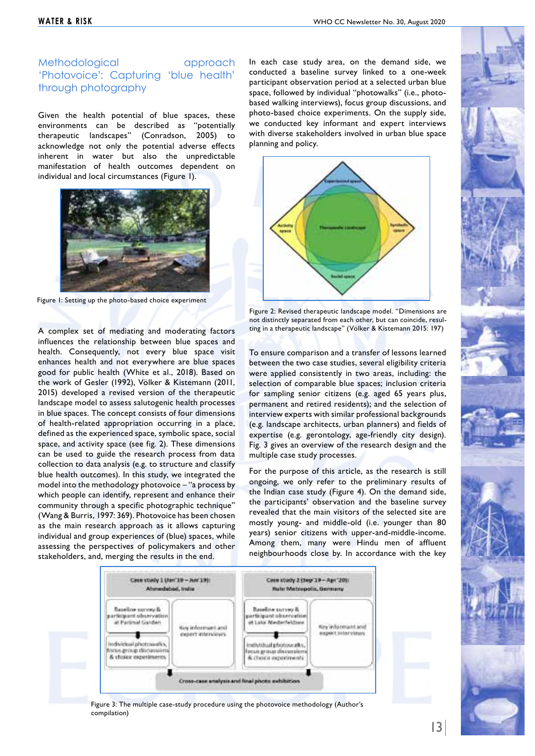# Methodological approach 'Photovoice': Capturing 'blue health' through photography

Given the health potential of blue spaces, these environments can be described as "potentially therapeutic landscapes" (Conradson, 2005) to acknowledge not only the potential adverse effects inherent in water but also the unpredictable manifestation of health outcomes dependent on individual and local circumstances (Figure 1).



Figure 1: Setting up the photo-based choice experiment

A complex set of mediating and moderating factors influences the relationship between blue spaces and health. Consequently, not every blue space visit enhances health and not everywhere are blue spaces good for public health (White et al., 2018). Based on the work of Gesler (1992), Völker & Kistemann (2011, 2015) developed a revised version of the therapeutic landscape model to assess salutogenic health processes in blue spaces. The concept consists of four dimensions of health-related appropriation occurring in a place, defined as the experienced space, symbolic space, social space, and activity space (see fig. 2). These dimensions can be used to guide the research process from data collection to data analysis (e.g. to structure and classify blue health outcomes). In this study, we integrated the model into the methodology photovoice – "a process by which people can identify, represent and enhance their community through a specific photographic technique" (Wang & Burris, 1997: 369). Photovoice has been chosen as the main research approach as it allows capturing individual and group experiences of (blue) spaces, while assessing the perspectives of policymakers and other stakeholders, and, merging the results in the end.

In each case study area, on the demand side, we conducted a baseline survey linked to a one-week participant observation period at a selected urban blue space, followed by individual "photowalks" (i.e., photobased walking interviews), focus group discussions, and photo-based choice experiments. On the supply side, we conducted key informant and expert interviews with diverse stakeholders involved in urban blue space planning and policy.



Figure 2: Revised therapeutic landscape model. "Dimensions are not distinctly separated from each other, but can coincide, resulting in a therapeutic landscape" (Völker & Kistemann 2015: 197)

To ensure comparison and a transfer of lessons learned between the two case studies, several eligibility criteria were applied consistently in two areas, including: the selection of comparable blue spaces; inclusion criteria for sampling senior citizens (e.g. aged 65 years plus, permanent and retired residents); and the selection of interview experts with similar professional backgrounds (e.g. landscape architects, urban planners) and fields of expertise (e.g. gerontology, age-friendly city design). Fig. 3 gives an overview of the research design and the multiple case study processes.

For the purpose of this article, as the research is still ongoing, we only refer to the preliminary results of the Indian case study (Figure 4). On the demand side, the participants' observation and the baseline survey revealed that the main visitors of the selected site are mostly young- and middle-old (i.e. younger than 80 years) senior citizens with upper-and-middle-income. Among them, many were Hindu men of affluent neighbourhoods close by. In accordance with the key



 Figure 3: The multiple case-study procedure using the photovoice methodology (Author's compilation)

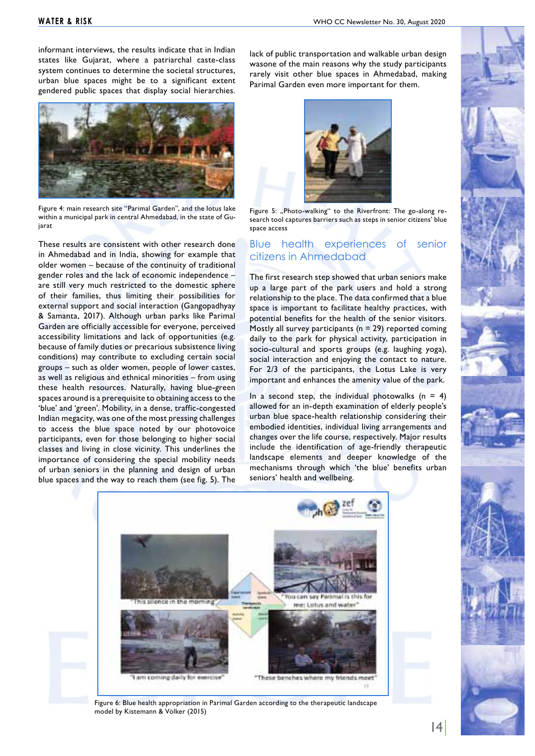informant interviews, the results indicate that in Indian states like Gujarat, where a patriarchal caste-class system continues to determine the societal structures, urban blue spaces might be to a significant extent gendered public spaces that display social hierarchies.



Figure 4: main research site "Parimal Garden", and the lotus lake within a municipal park in central Ahmedabad, in the state of Guiarat

These results are consistent with other research done in Ahmedabad and in India, showing for example that older women – because of the continuity of traditional gender roles and the lack of economic independence – are still very much restricted to the domestic sphere of their families, thus limiting their possibilities for external support and social interaction (Gangopadhyay & Samanta, 2017). Although urban parks like Parimal Garden are officially accessible for everyone, perceived accessibility limitations and lack of opportunities (e.g. because of family duties or precarious subsistence living conditions) may contribute to excluding certain social groups – such as older women, people of lower castes, as well as religious and ethnical minorities – from using these health resources. Naturally, having blue-green spaces around is a prerequisite to obtaining access to the 'blue' and 'green'. Mobility, in a dense, traffic-congested Indian megacity, was one of the most pressing challenges to access the blue space noted by our photovoice participants, even for those belonging to higher social classes and living in close vicinity. This underlines the importance of considering the special mobility needs of urban seniors in the planning and design of urban blue spaces and the way to reach them (see fig. 5). The

lack of public transportation and walkable urban design wasone of the main reasons why the study participants rarely visit other blue spaces in Ahmedabad, making Parimal Garden even more important for them.



Figure 5: "Photo-walking" to the Riverfront: The go-along research tool captures barriers such as steps in senior citizens' blue space access

# Blue health experiences of senior citizens in Ahmedabad

The first research step showed that urban seniors make up a large part of the park users and hold a strong relationship to the place. The data confirmed that a blue space is important to facilitate healthy practices, with potential benefits for the health of the senior visitors. Mostly all survey participants ( $n = 29$ ) reported coming daily to the park for physical activity, participation in socio-cultural and sports groups (e.g. laughing yoga), social interaction and enjoying the contact to nature. For 2/3 of the participants, the Lotus Lake is very important and enhances the amenity value of the park.

In a second step, the individual photowalks  $(n = 4)$ allowed for an in-depth examination of elderly people's urban blue space-health relationship considering their embodied identities, individual living arrangements and changes over the life course, respectively. Major results include the identification of age-friendly therapeutic landscape elements and deeper knowledge of the mechanisms through which 'the blue' benefits urban seniors' health and wellbeing.



 Figure 6: Blue health appropriation in Parimal Garden according to the therapeutic landscape model by Kistemann & Völker (2015)

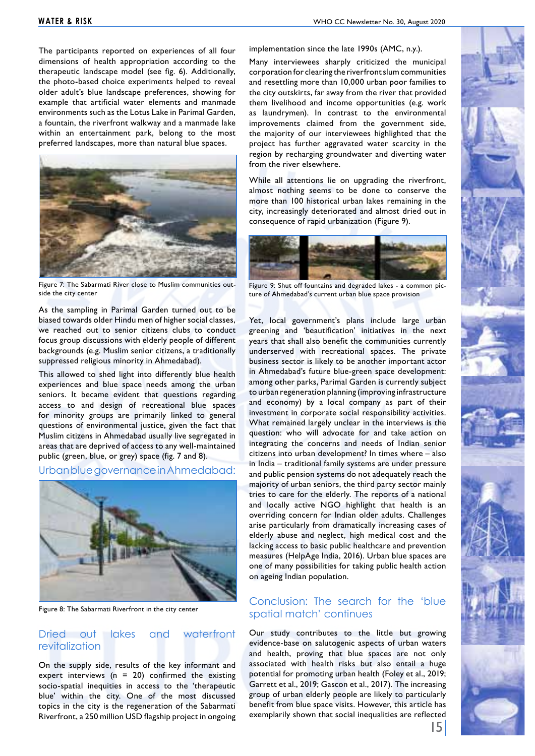The participants reported on experiences of all four dimensions of health appropriation according to the therapeutic landscape model (see fig. 6). Additionally, the photo-based choice experiments helped to reveal older adult's blue landscape preferences, showing for example that artificial water elements and manmade environments such as the Lotus Lake in Parimal Garden, a fountain, the riverfront walkway and a manmade lake within an entertainment park, belong to the most preferred landscapes, more than natural blue spaces.



Figure 7: The Sabarmati River close to Muslim communities outside the city center

As the sampling in Parimal Garden turned out to be biased towards older Hindu men of higher social classes, we reached out to senior citizens clubs to conduct focus group discussions with elderly people of different backgrounds (e.g. Muslim senior citizens, a traditionally suppressed religious minority in Ahmedabad).

This allowed to shed light into differently blue health experiences and blue space needs among the urban seniors. It became evident that questions regarding access to and design of recreational blue spaces for minority groups are primarily linked to general questions of environmental justice, given the fact that Muslim citizens in Ahmedabad usually live segregated in areas that are deprived of access to any well-maintained public (green, blue, or grey) space (fig. 7 and 8).

#### Urban blue governance in Ahmedabad:



Figure 8: The Sabarmati Riverfront in the city center

#### Dried out lakes and waterfront revitalization

On the supply side, results of the key informant and expert interviews ( $n = 20$ ) confirmed the existing socio-spatial inequities in access to the 'therapeutic blue' within the city. One of the most discussed topics in the city is the regeneration of the Sabarmati Riverfront, a 250 million USD flagship project in ongoing implementation since the late 1990s (AMC, n.y.).

Many interviewees sharply criticized the municipal corporation for clearing the riverfront slum communities and resettling more than 10,000 urban poor families to the city outskirts, far away from the river that provided them livelihood and income opportunities (e.g. work as laundrymen). In contrast to the environmental improvements claimed from the government side, the majority of our interviewees highlighted that the project has further aggravated water scarcity in the region by recharging groundwater and diverting water from the river elsewhere.

While all attentions lie on upgrading the riverfront, almost nothing seems to be done to conserve the more than 100 historical urban lakes remaining in the city, increasingly deteriorated and almost dried out in consequence of rapid urbanization (Figure 9).



Figure 9: Shut off fountains and degraded lakes - a common picture of Ahmedabad's current urban blue space provision

Yet, local government's plans include large urban greening and 'beautification' initiatives in the next years that shall also benefit the communities currently underserved with recreational spaces. The private business sector is likely to be another important actor in Ahmedabad's future blue-green space development: among other parks, Parimal Garden is currently subject to urban regeneration planning (improving infrastructure and economy) by a local company as part of their investment in corporate social responsibility activities. What remained largely unclear in the interviews is the question: who will advocate for and take action on integrating the concerns and needs of Indian senior citizens into urban development? In times where – also in India – traditional family systems are under pressure and public pension systems do not adequately reach the majority of urban seniors, the third party sector mainly tries to care for the elderly. The reports of a national and locally active NGO highlight that health is an overriding concern for Indian older adults. Challenges arise particularly from dramatically increasing cases of elderly abuse and neglect, high medical cost and the lacking access to basic public healthcare and prevention measures (HelpAge India, 2016). Urban blue spaces are one of many possibilities for taking public health action on ageing Indian population.

# Conclusion: The search for the 'blue spatial match' continues

Our study contributes to the little but growing evidence-base on salutogenic aspects of urban waters and health, proving that blue spaces are not only associated with health risks but also entail a huge potential for promoting urban health (Foley et al., 2019; Garrett et al., 2019; Gascon et al., 2017). The increasing group of urban elderly people are likely to particularly benefit from blue space visits. However, this article has exemplarily shown that social inequalities are reflected

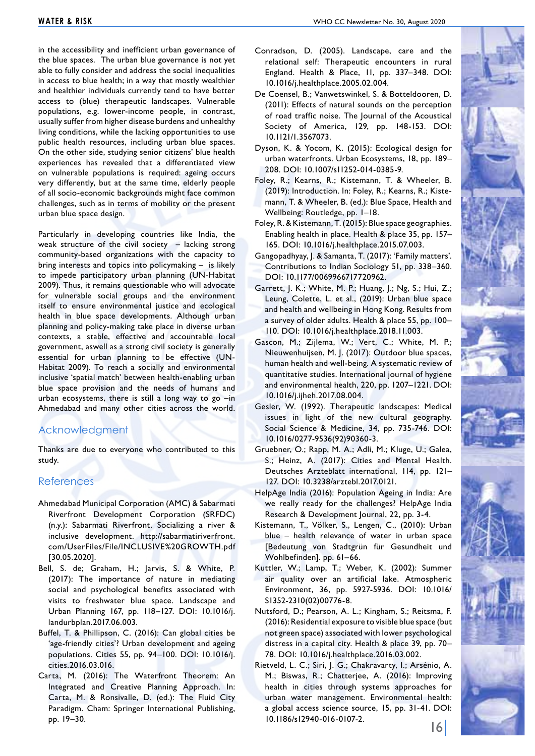in the accessibility and inefficient urban governance of the blue spaces. The urban blue governance is not yet able to fully consider and address the social inequalities in access to blue health; in a way that mostly wealthier and healthier individuals currently tend to have better access to (blue) therapeutic landscapes. Vulnerable populations, e.g. lower-income people, in contrast, usually suffer from higher disease burdens and unhealthy living conditions, while the lacking opportunities to use public health resources, including urban blue spaces. On the other side, studying senior citizens' blue health experiences has revealed that a differentiated view on vulnerable populations is required: ageing occurs very differently, but at the same time, elderly people of all socio-economic backgrounds might face common challenges, such as in terms of mobility or the present urban blue space design.

Particularly in developing countries like India, the weak structure of the civil society – lacking strong community-based organizations with the capacity to bring interests and topics into policymaking – is likely to impede participatory urban planning (UN-Habitat 2009). Thus, it remains questionable who will advocate for vulnerable social groups and the environment itself to ensure environmental justice and ecological health in blue space developments. Although urban planning and policy-making take place in diverse urban contexts, a stable, effective and accountable local government, aswell as a strong civil society is generally essential for urban planning to be effective (UN-Habitat 2009). To reach a socially and environmental inclusive 'spatial match' between health-enabling urban blue space provision and the needs of humans and urban ecosystems, there is still a long way to go –in Ahmedabad and many other cities across the world.

# Acknowledgment

Thanks are due to everyone who contributed to this study.

## References

- Ahmedabad Municipal Corporation (AMC) & Sabarmati Riverfront Development Corporation (SRFDC) (n.y.): Sabarmati Riverfront. Socializing a river & inclusive development. http://sabarmatiriverfront. com/UserFiles/File/INCLUSIVE%20GROWTH.pdf [30.05.2020].
- Bell, S. de; Graham, H.; Jarvis, S. & White, P. (2017): The importance of nature in mediating social and psychological benefits associated with visits to freshwater blue space. Landscape and Urban Planning 167, pp. 118–127. DOI: 10.1016/j. landurbplan.2017.06.003.
- Buffel, T. & Phillipson, C. (2016): Can global cities be 'age-friendly cities'? Urban development and ageing populations. Cities 55, pp. 94–100. DOI: 10.1016/j. cities.2016.03.016.
- Carta, M. (2016): The Waterfront Theorem: An Integrated and Creative Planning Approach. In: Carta, M. & Ronsivalle, D. (ed.): The Fluid City Paradigm. Cham: Springer International Publishing, pp. 19–30.
- De Coensel, B.; Vanwetswinkel, S. & Botteldooren, D. (2011): Effects of natural sounds on the perception of road traffic noise. The Journal of the Acoustical Society of America, 129, pp. 148-153. DOI: 10.1121/1.3567073.
- Dyson, K. & Yocom, K. (2015): Ecological design for urban waterfronts. Urban Ecosystems, 18, pp. 189– 208. DOI: 10.1007/s11252-014-0385-9.
- Foley, R.; Kearns, R.; Kistemann, T. & Wheeler, B. (2019): Introduction. In: Foley, R.; Kearns, R.; Kistemann, T. & Wheeler, B. (ed.): Blue Space, Health and Wellbeing: Routledge, pp. 1–18.
- Foley, R. & Kistemann, T. (2015): Blue space geographies. Enabling health in place. Health & place 35, pp. 157– 165. DOI: 10.1016/j.healthplace.2015.07.003.
- Gangopadhyay, J. & Samanta, T. (2017): 'Family matters'. Contributions to Indian Sociology 51, pp. 338–360. DOI: 10.1177/0069966717720962.
- Garrett, J. K.; White, M. P.; Huang, J.; Ng, S.; Hui, Z.; Leung, Colette, L. et al., (2019): Urban blue space and health and wellbeing in Hong Kong. Results from a survey of older adults. Health & place 55, pp. 100– 110. DOI: 10.1016/j.healthplace.2018.11.003.
- Gascon, M.; Zijlema, W.; Vert, C.; White, M. P.; Nieuwenhuijsen, M. J. (2017): Outdoor blue spaces, human health and well-being. A systematic review of quantitative studies. International journal of hygiene and environmental health, 220, pp. 1207–1221. DOI: 10.1016/j.ijheh.2017.08.004.
- Gesler, W. (1992). Therapeutic landscapes: Medical issues in light of the new cultural geography. Social Science & Medicine, 34, pp. 735-746. DOI: 10.1016/0277-9536(92)90360-3.
- Gruebner, O.; Rapp, M. A.; Adli, M.; Kluge, U.; Galea, S.; Heinz, A. (2017): Cities and Mental Health. Deutsches Arzteblatt international, 114, pp. 121– 127. DOI: 10.3238/arztebl.2017.0121.
- HelpAge India (2016): Population Ageing in India: Are we really ready for the challenges? HelpAge India Research & Development Journal, 22, pp. 3-4.
- Kistemann, T., Völker, S., Lengen, C., (2010): Urban blue – health relevance of water in urban space [Bedeutung von Stadtgrün für Gesundheit und Wohlbefinden]. pp. 61–66.
- Kuttler, W.; Lamp, T.; Weber, K. (2002): Summer air quality over an artificial lake. Atmospheric Environment, 36, pp. 5927-5936. DOI: 10.1016/ S1352-2310(02)00776-8.
- Nutsford, D.; Pearson, A. L.; Kingham, S.; Reitsma, F. (2016): Residential exposure to visible blue space (but not green space) associated with lower psychological distress in a capital city. Health & place 39, pp. 70– 78. DOI: 10.1016/j.healthplace.2016.03.002.
- Rietveld, L. C.; Siri, J. G.; Chakravarty, I.; Arsénio, A. M.; Biswas, R.; Chatterjee, A. (2016): Improving health in cities through systems approaches for urban water management. Environmental health: a global access science source, 15, pp. 31-41. DOI: 10.1186/s12940-016-0107-2.